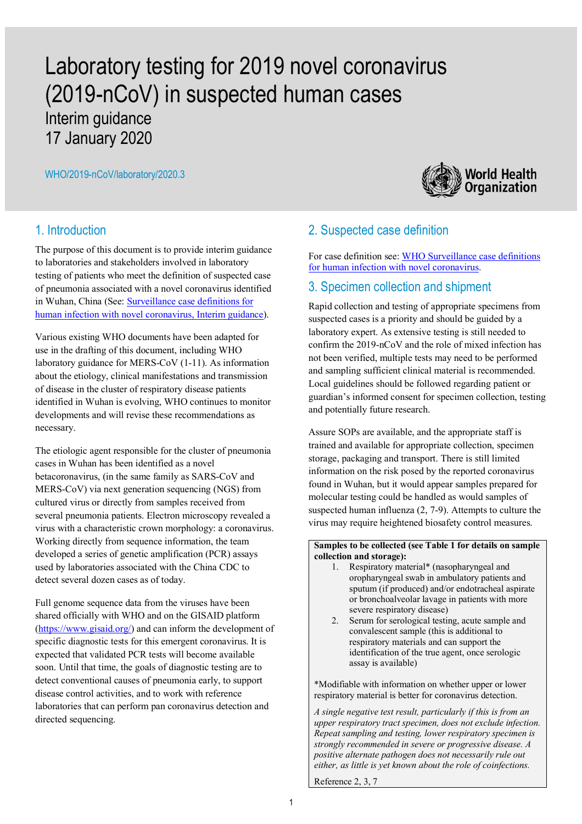# Laboratory testing for 2019 novel coronavirus (2019-nCoV) in suspected human cases Interim guidance 17 January 2020

WHO/2019-nCoV/laboratory/2020.3



The purpose of this document is to provide interim guidance to laboratories and stakeholders involved in laboratory testing of patients who meet the definition of suspected case of pneumonia associated with a novel coronavirus identified in Wuhan, China (See: Surveillance case definitions for human infection with novel coronavirus, Interim guidance).

Various existing WHO documents have been adapted for use in the drafting of this document, including WHO laboratory guidance for MERS-CoV (1-11). As information about the etiology, clinical manifestations and transmission of disease in the cluster of respiratory disease patients identified in Wuhan is evolving, WHO continues to monitor developments and will revise these recommendations as necessary.

The etiologic agent responsible for the cluster of pneumonia cases in Wuhan has been identified as a novel betacoronavirus, (in the same family as SARS-CoV and MERS-CoV) via next generation sequencing (NGS) from cultured virus or directly from samples received from several pneumonia patients. Electron microscopy revealed a virus with a characteristic crown morphology: a coronavirus. Working directly from sequence information, the team developed a series of genetic amplification (PCR) assays used by laboratories associated with the China CDC to detect several dozen cases as of today.

Full genome sequence data from the viruses have been shared officially with WHO and on the GISAID platform (https://www.gisaid.org/) and can inform the development of specific diagnostic tests for this emergent coronavirus. It is expected that validated PCR tests will become available soon. Until that time, the goals of diagnostic testing are to detect conventional causes of pneumonia early, to support disease control activities, and to work with reference laboratories that can perform pan coronavirus detection and directed sequencing.



# 2. Suspected case definition

For case definition see: WHO Surveillance case definitions for human infection with novel coronavirus.

### 3. Specimen collection and shipment

Rapid collection and testing of appropriate specimens from suspected cases is a priority and should be guided by a laboratory expert. As extensive testing is still needed to confirm the 2019-nCoV and the role of mixed infection has not been verified, multiple tests may need to be performed and sampling sufficient clinical material is recommended. Local guidelines should be followed regarding patient or guardian's informed consent for specimen collection, testing and potentially future research.

Assure SOPs are available, and the appropriate staff is trained and available for appropriate collection, specimen storage, packaging and transport. There is still limited information on the risk posed by the reported coronavirus found in Wuhan, but it would appear samples prepared for molecular testing could be handled as would samples of suspected human influenza (2, 7-9). Attempts to culture the virus may require heightened biosafety control measures.

### **Samples to be collected (see Table 1 for details on sample collection and storage):**

- 1. Respiratory material\* (nasopharyngeal and oropharyngeal swab in ambulatory patients and sputum (if produced) and/or endotracheal aspirate or bronchoalveolar lavage in patients with more severe respiratory disease)
- 2. Serum for serological testing, acute sample and convalescent sample (this is additional to respiratory materials and can support the identification of the true agent, once serologic assay is available)

\*Modifiable with information on whether upper or lower respiratory material is better for coronavirus detection.

*A single negative test result, particularly if this is from an upper respiratory tract specimen, does not exclude infection. Repeat sampling and testing, lower respiratory specimen is strongly recommended in severe or progressive disease. A positive alternate pathogen does not necessarily rule out either, as little is yet known about the role of coinfections.*

Reference 2, 3, 7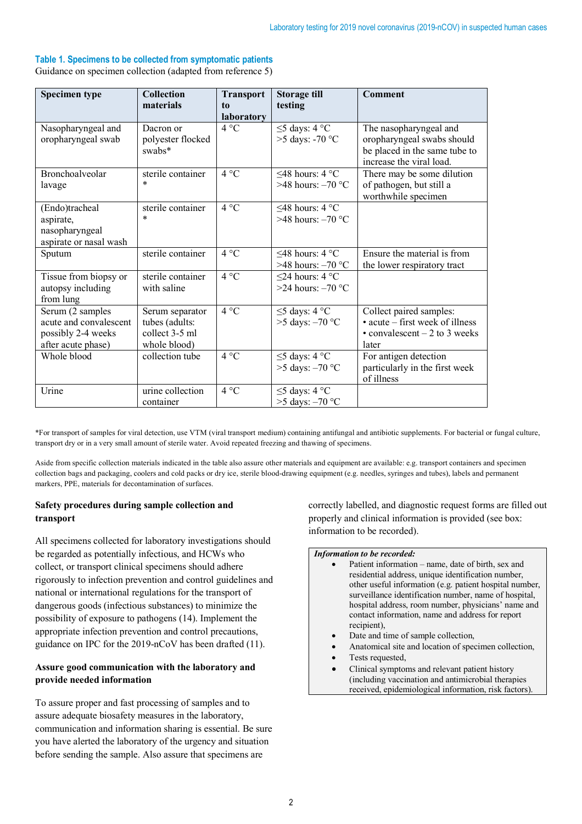### **Table 1. Specimens to be collected from symptomatic patients**

Guidance on specimen collection (adapted from reference 5)

| Specimen type                                                                          | <b>Collection</b><br>materials                                      | <b>Transport</b><br>to<br><b>laboratory</b> | Storage till<br>testing                           | Comment                                                                                                           |
|----------------------------------------------------------------------------------------|---------------------------------------------------------------------|---------------------------------------------|---------------------------------------------------|-------------------------------------------------------------------------------------------------------------------|
| Nasopharyngeal and<br>oropharyngeal swab                                               | Dacron or<br>polyester flocked<br>swabs*                            | $4^{\circ}C$                                | $\leq$ 5 days: 4 °C<br>$>5$ days: -70 °C          | The nasopharyngeal and<br>oropharyngeal swabs should<br>be placed in the same tube to<br>increase the viral load. |
| Bronchoalveolar<br>lavage                                                              | sterile container<br>$\ast$                                         | $4^{\circ}C$                                | <48 hours: $4^{\circ}$ C<br>$>48$ hours: $-70$ °C | There may be some dilution<br>of pathogen, but still a<br>worthwhile specimen                                     |
| (Endo)tracheal<br>aspirate,<br>nasopharyngeal<br>aspirate or nasal wash                | sterile container<br>$\ast$                                         | 4 °C                                        | $\leq$ 48 hours: 4 °C<br>$>48$ hours: $-70$ °C    |                                                                                                                   |
| Sputum                                                                                 | sterile container                                                   | $4^{\circ}C$                                | <48 hours: $4^{\circ}$ C<br>>48 hours: $-70$ °C   | Ensure the material is from<br>the lower respiratory tract                                                        |
| Tissue from biopsy or<br>autopsy including<br>from lung                                | sterile container<br>with saline                                    | $4^{\circ}C$                                | $\leq$ 24 hours: 4 °C<br>$>24$ hours: $-70$ °C    |                                                                                                                   |
| Serum (2 samples<br>acute and convalescent<br>possibly 2-4 weeks<br>after acute phase) | Serum separator<br>tubes (adults:<br>collect 3-5 ml<br>whole blood) | $4^{\circ}C$                                | $\leq$ 5 days: 4 °C<br>$>5$ days: $-70$ °C        | Collect paired samples:<br>• acute – first week of illness<br>$\cdot$ convalescent $-2$ to 3 weeks<br>later       |
| Whole blood                                                                            | collection tube                                                     | 4 °C                                        | $\leq$ 5 days: 4 °C<br>$>5$ days: $-70$ °C        | For antigen detection<br>particularly in the first week<br>of illness                                             |
| Urine                                                                                  | urine collection<br>container                                       | $4^{\circ}C$                                | $\leq$ 5 days: 4 °C<br>$>5$ days: $-70$ °C        |                                                                                                                   |

\*For transport of samples for viral detection, use VTM (viral transport medium) containing antifungal and antibiotic supplements. For bacterial or fungal culture, transport dry or in a very small amount of sterile water. Avoid repeated freezing and thawing of specimens.

Aside from specific collection materials indicated in the table also assure other materials and equipment are available: e.g. transport containers and specimen collection bags and packaging, coolers and cold packs or dry ice, sterile blood-drawing equipment (e.g. needles, syringes and tubes), labels and permanent markers, PPE, materials for decontamination of surfaces.

### **Safety procedures during sample collection and transport**

All specimens collected for laboratory investigations should be regarded as potentially infectious, and HCWs who collect, or transport clinical specimens should adhere rigorously to infection prevention and control guidelines and national or international regulations for the transport of dangerous goods (infectious substances) to minimize the possibility of exposure to pathogens (14). Implement the appropriate infection prevention and control precautions, guidance on IPC for the 2019-nCoV has been drafted (11).

### **Assure good communication with the laboratory and provide needed information**

To assure proper and fast processing of samples and to assure adequate biosafety measures in the laboratory, communication and information sharing is essential. Be sure you have alerted the laboratory of the urgency and situation before sending the sample. Also assure that specimens are

correctly labelled, and diagnostic request forms are filled out properly and clinical information is provided (see box: information to be recorded).

### *Information to be recorded:*

- Patient information name, date of birth, sex and residential address, unique identification number, other useful information (e.g. patient hospital number, surveillance identification number, name of hospital, hospital address, room number, physicians' name and contact information, name and address for report recipient),
- Date and time of sample collection,
- Anatomical site and location of specimen collection,
- Tests requested,
- Clinical symptoms and relevant patient history (including vaccination and antimicrobial therapies received, epidemiological information, risk factors).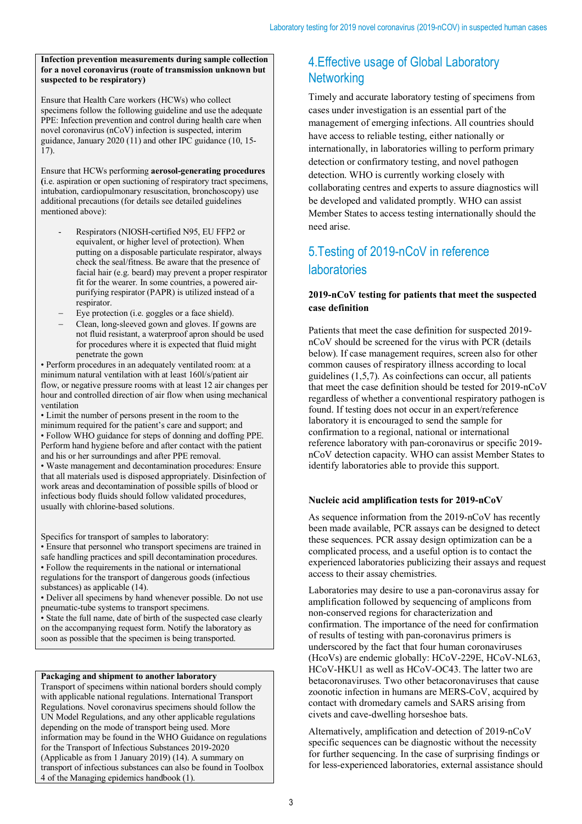#### **Infection prevention measurements during sample collection for a novel coronavirus (route of transmission unknown but suspected to be respiratory)**

Ensure that Health Care workers (HCWs) who collect specimens follow the following guideline and use the adequate PPE: Infection prevention and control during health care when novel coronavirus (nCoV) infection is suspected, interim guidance, January 2020 (11) and other IPC guidance (10, 15- 17).

Ensure that HCWs performing **aerosol-generating procedures (**i.e. aspiration or open suctioning of respiratory tract specimens, intubation, cardiopulmonary resuscitation, bronchoscopy) use additional precautions (for details see detailed guidelines mentioned above):

- Respirators (NIOSH-certified N95, EU FFP2 or equivalent, or higher level of protection). When putting on a disposable particulate respirator, always check the seal/fitness. Be aware that the presence of facial hair (e.g. beard) may prevent a proper respirator fit for the wearer. In some countries, a powered airpurifying respirator (PAPR) is utilized instead of a respirator.
- Eye protection (i.e. goggles or a face shield).
- Clean, long-sleeved gown and gloves. If gowns are not fluid resistant, a waterproof apron should be used for procedures where it is expected that fluid might penetrate the gown

• Perform procedures in an adequately ventilated room: at a minimum natural ventilation with at least 160l/s/patient air flow, or negative pressure rooms with at least 12 air changes per hour and controlled direction of air flow when using mechanical ventilation

• Limit the number of persons present in the room to the minimum required for the patient's care and support; and • Follow WHO guidance for steps of donning and doffing PPE. Perform hand hygiene before and after contact with the patient and his or her surroundings and after PPE removal. • Waste management and decontamination procedures: Ensure that all materials used is disposed appropriately. Disinfection of work areas and decontamination of possible spills of blood or infectious body fluids should follow validated procedures, usually with chlorine-based solutions.

Specifics for transport of samples to laboratory:

• Ensure that personnel who transport specimens are trained in safe handling practices and spill decontamination procedures. • Follow the requirements in the national or international regulations for the transport of dangerous goods (infectious substances) as applicable (14).

• Deliver all specimens by hand whenever possible. Do not use pneumatic-tube systems to transport specimens.

• State the full name, date of birth of the suspected case clearly on the accompanying request form. Notify the laboratory as soon as possible that the specimen is being transported.

### **Packaging and shipment to another laboratory**

Transport of specimens within national borders should comply with applicable national regulations. International Transport Regulations. Novel coronavirus specimens should follow the UN Model Regulations, and any other applicable regulations depending on the mode of transport being used. More information may be found in the WHO Guidance on regulations for the Transport of Infectious Substances 2019-2020 (Applicable as from 1 January 2019) (14). A summary on transport of infectious substances can also be found in Toolbox 4 of the Managing epidemics handbook (1).

# 4.Effective usage of Global Laboratory **Networking**

Timely and accurate laboratory testing of specimens from cases under investigation is an essential part of the management of emerging infections. All countries should have access to reliable testing, either nationally or internationally, in laboratories willing to perform primary detection or confirmatory testing, and novel pathogen detection. WHO is currently working closely with collaborating centres and experts to assure diagnostics will be developed and validated promptly. WHO can assist Member States to access testing internationally should the need arise.

# 5.Testing of 2019-nCoV in reference laboratories

### **2019-nCoV testing for patients that meet the suspected case definition**

Patients that meet the case definition for suspected 2019 nCoV should be screened for the virus with PCR (details below). If case management requires, screen also for other common causes of respiratory illness according to local guidelines (1,5,7). As coinfections can occur, all patients that meet the case definition should be tested for 2019-nCoV regardless of whether a conventional respiratory pathogen is found. If testing does not occur in an expert/reference laboratory it is encouraged to send the sample for confirmation to a regional, national or international reference laboratory with pan-coronavirus or specific 2019 nCoV detection capacity. WHO can assist Member States to identify laboratories able to provide this support.

### **Nucleic acid amplification tests for 2019-nCoV**

As sequence information from the 2019-nCoV has recently been made available, PCR assays can be designed to detect these sequences. PCR assay design optimization can be a complicated process, and a useful option is to contact the experienced laboratories publicizing their assays and request access to their assay chemistries.

Laboratories may desire to use a pan-coronavirus assay for amplification followed by sequencing of amplicons from non-conserved regions for characterization and confirmation. The importance of the need for confirmation of results of testing with pan-coronavirus primers is underscored by the fact that four human coronaviruses (HcoVs) are endemic globally: HCoV-229E, HCoV-NL63, HCoV-HKU1 as well as HCoV-OC43. The latter two are betacoronaviruses. Two other betacoronaviruses that cause zoonotic infection in humans are MERS-CoV, acquired by contact with dromedary camels and SARS arising from civets and cave-dwelling horseshoe bats.

Alternatively, amplification and detection of 2019-nCoV specific sequences can be diagnostic without the necessity for further sequencing. In the case of surprising findings or for less-experienced laboratories, external assistance should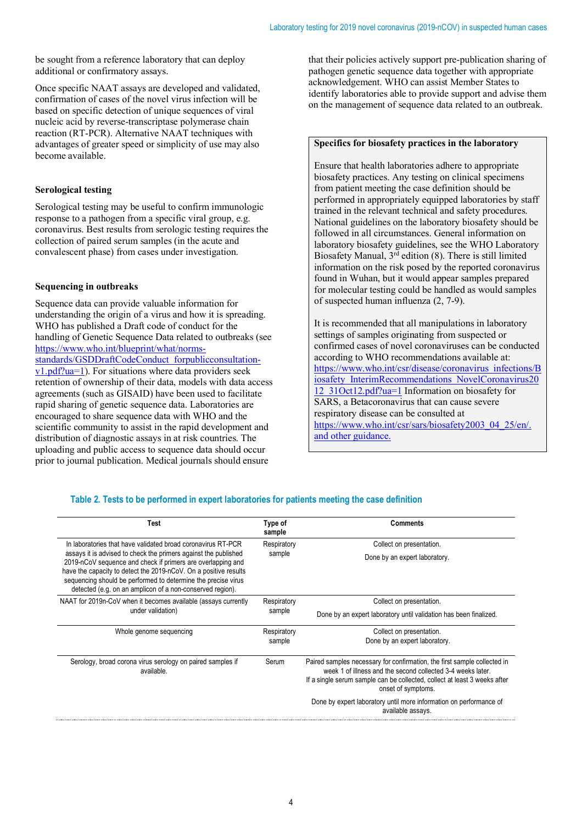be sought from a reference laboratory that can deploy additional or confirmatory assays.

Once specific NAAT assays are developed and validated, confirmation of cases of the novel virus infection will be based on specific detection of unique sequences of viral nucleic acid by reverse-transcriptase polymerase chain reaction (RT-PCR). Alternative NAAT techniques with advantages of greater speed or simplicity of use may also become available.

### **Serological testing**

Serological testing may be useful to confirm immunologic response to a pathogen from a specific viral group, e.g. coronavirus. Best results from serologic testing requires the collection of paired serum samples (in the acute and convalescent phase) from cases under investigation.

### **Sequencing in outbreaks**

Sequence data can provide valuable information for understanding the origin of a virus and how it is spreading. WHO has published a Draft code of conduct for the handling of Genetic Sequence Data related to outbreaks (see https://www.who.int/blueprint/what/normsstandards/GSDDraftCodeConduct\_forpublicconsultationv1.pdf?ua=1). For situations where data providers seek retention of ownership of their data, models with data access agreements (such as GISAID) have been used to facilitate rapid sharing of genetic sequence data. Laboratories are encouraged to share sequence data with WHO and the scientific community to assist in the rapid development and distribution of diagnostic assays in at risk countries. The uploading and public access to sequence data should occur prior to journal publication. Medical journals should ensure

that their policies actively support pre-publication sharing of pathogen genetic sequence data together with appropriate acknowledgement. WHO can assist Member States to identify laboratories able to provide support and advise them on the management of sequence data related to an outbreak.

### **Specifics for biosafety practices in the laboratory**

Ensure that health laboratories adhere to appropriate biosafety practices. Any testing on clinical specimens from patient meeting the case definition should be performed in appropriately equipped laboratories by staff trained in the relevant technical and safety procedures. National guidelines on the laboratory biosafety should be followed in all circumstances. General information on laboratory biosafety guidelines, see the WHO Laboratory Biosafety Manual, 3rd edition (8). There is still limited information on the risk posed by the reported coronavirus found in Wuhan, but it would appear samples prepared for molecular testing could be handled as would samples of suspected human influenza (2, 7-9).

It is recommended that all manipulations in laboratory settings of samples originating from suspected or confirmed cases of novel coronaviruses can be conducted according to WHO recommendations available at: https://www.who.int/csr/disease/coronavirus\_infections/B iosafety\_InterimRecommendations\_NovelCoronavirus20 12\_31Oct12.pdf?ua=1 Information on biosafety for SARS, a Betacoronavirus that can cause severe respiratory disease can be consulted at https://www.who.int/csr/sars/biosafety2003\_04\_25/en/. and other guidance.

### **Table 2. Tests to be performed in expert laboratories for patients meeting the case definition**

| Test                                                                                                                                                                                                                                                                                                                             | Type of<br>sample     | <b>Comments</b>                                                                                                                                                                                                                            |  |
|----------------------------------------------------------------------------------------------------------------------------------------------------------------------------------------------------------------------------------------------------------------------------------------------------------------------------------|-----------------------|--------------------------------------------------------------------------------------------------------------------------------------------------------------------------------------------------------------------------------------------|--|
| In laboratories that have validated broad coronavirus RT-PCR                                                                                                                                                                                                                                                                     | Respiratory           | Collect on presentation.                                                                                                                                                                                                                   |  |
| assays it is advised to check the primers against the published<br>2019-nCoV sequence and check if primers are overlapping and<br>have the capacity to detect the 2019-nCoV. On a positive results<br>sequencing should be performed to determine the precise virus<br>detected (e.g. on an amplicon of a non-conserved region). | sample                | Done by an expert laboratory.                                                                                                                                                                                                              |  |
| NAAT for 2019 n-CoV when it becomes available (assays currently                                                                                                                                                                                                                                                                  | Respiratory<br>sample | Collect on presentation.                                                                                                                                                                                                                   |  |
| under validation)                                                                                                                                                                                                                                                                                                                |                       | Done by an expert laboratory until validation has been finalized.                                                                                                                                                                          |  |
| Whole genome sequencing                                                                                                                                                                                                                                                                                                          | Respiratory<br>sample | Collect on presentation.                                                                                                                                                                                                                   |  |
|                                                                                                                                                                                                                                                                                                                                  |                       | Done by an expert laboratory.                                                                                                                                                                                                              |  |
| Serology, broad corona virus serology on paired samples if<br>available.                                                                                                                                                                                                                                                         | Serum                 | Paired samples necessary for confirmation, the first sample collected in<br>week 1 of illness and the second collected 3-4 weeks later.<br>If a single serum sample can be collected, collect at least 3 weeks after<br>onset of symptoms. |  |
|                                                                                                                                                                                                                                                                                                                                  |                       | Done by expert laboratory until more information on performance of<br>available assays.                                                                                                                                                    |  |
|                                                                                                                                                                                                                                                                                                                                  |                       |                                                                                                                                                                                                                                            |  |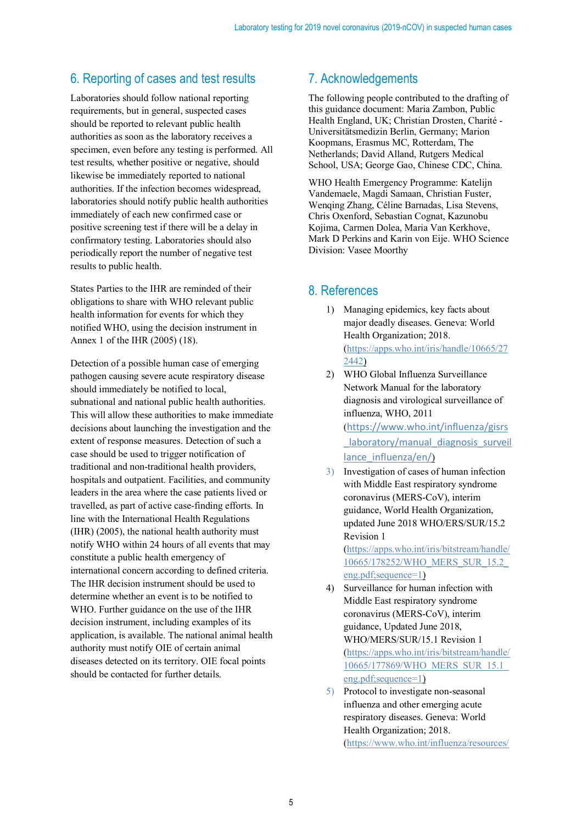# 6. Reporting of cases and test results

Laboratories should follow national reporting requirements, but in general, suspected cases should be reported to relevant public health authorities as soon as the laboratory receives a specimen, even before any testing is performed. All test results, whether positive or negative, should likewise be immediately reported to national authorities. If the infection becomes widespread, laboratories should notify public health authorities immediately of each new confirmed case or positive screening test if there will be a delay in confirmatory testing. Laboratories should also periodically report the number of negative test results to public health.

States Parties to the IHR are reminded of their obligations to share with WHO relevant public health information for events for which they notified WHO, using the decision instrument in Annex 1 of the IHR (2005) (18).

Detection of a possible human case of emerging pathogen causing severe acute respiratory disease should immediately be notified to local, subnational and national public health authorities. This will allow these authorities to make immediate decisions about launching the investigation and the extent of response measures. Detection of such a case should be used to trigger notification of traditional and non-traditional health providers, hospitals and outpatient. Facilities, and community leaders in the area where the case patients lived or travelled, as part of active case-finding efforts. In line with the International Health Regulations (IHR) (2005), the national health authority must notify WHO within 24 hours of all events that may constitute a public health emergency of international concern according to defined criteria. The IHR decision instrument should be used to determine whether an event is to be notified to WHO. Further guidance on the use of the IHR decision instrument, including examples of its application, is available. The national animal health authority must notify OIE of certain animal diseases detected on its territory. OIE focal points should be contacted for further details.

## 7. Acknowledgements

The following people contributed to the drafting of this guidance document: Maria Zambon, Public Health England, UK; Christian Drosten, Charité - Universitätsmedizin Berlin, Germany; Marion Koopmans, Erasmus MC, Rotterdam, The Netherlands; David Alland, Rutgers Medical School, USA; George Gao, Chinese CDC, China.

WHO Health Emergency Programme: Katelijn Vandemaele, Magdi Samaan, Christian Fuster, Wenqing Zhang, Céline Barnadas, Lisa Stevens, Chris Oxenford, Sebastian Cognat, Kazunobu Kojima, Carmen Dolea, Maria Van Kerkhove, Mark D Perkins and Karin von Eije. WHO Science Division: Vasee Moorthy

### 8. References

- 1) Managing epidemics, key facts about major deadly diseases. Geneva: World Health Organization; 2018. (https://apps.who.int/iris/handle/10665/27 2442)
- 2) WHO Global Influenza Surveillance Network Manual for the laboratory diagnosis and virological surveillance of influenza, WHO, 2011 (https://www.who.int/influenza/gisrs laboratory/manual diagnosis surveil lance\_influenza/en/)
- 3) Investigation of cases of human infection with Middle East respiratory syndrome coronavirus (MERS-CoV), interim guidance, World Health Organization, updated June 2018 WHO/ERS/SUR/15.2 Revision 1

(https://apps.who.int/iris/bitstream/handle/ 10665/178252/WHO\_MERS\_SUR\_15.2\_ eng.pdf;sequence=1)

- 4) Surveillance for human infection with Middle East respiratory syndrome coronavirus (MERS-CoV), interim guidance, Updated June 2018, WHO/MERS/SUR/15.1 Revision 1 (https://apps.who.int/iris/bitstream/handle/ 10665/177869/WHO\_MERS\_SUR\_15.1\_ eng.pdf;sequence=1)
- 5) Protocol to investigate non-seasonal influenza and other emerging acute respiratory diseases. Geneva: World Health Organization; 2018. (https://www.who.int/influenza/resources/